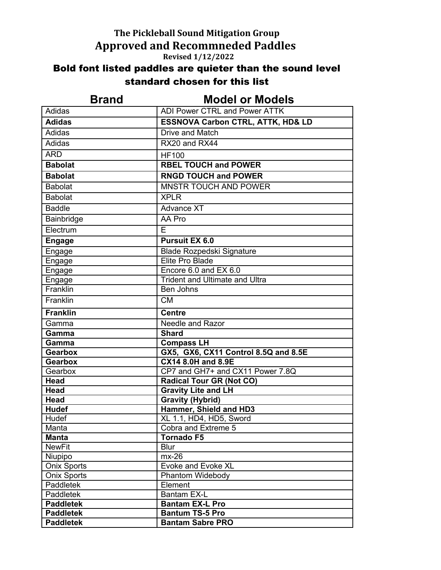## **The Pickleball Sound Mitigation Group Approved and Recommneded Paddles Revised 1/12/2022**

## Bold font listed paddles are quieter than the sound level standard chosen for this list

| <b>Brand</b>       | <b>Model or Models</b>                       |
|--------------------|----------------------------------------------|
| Adidas             | <b>ADI Power CTRL and Power ATTK</b>         |
| <b>Adidas</b>      | <b>ESSNOVA Carbon CTRL, ATTK, HD&amp; LD</b> |
| Adidas             | Drive and Match                              |
| Adidas             | RX20 and RX44                                |
| <b>ARD</b>         | <b>HF100</b>                                 |
| <b>Babolat</b>     | <b>RBEL TOUCH and POWER</b>                  |
| <b>Babolat</b>     | <b>RNGD TOUCH and POWER</b>                  |
| <b>Babolat</b>     | <b>MNSTR TOUCH AND POWER</b>                 |
| <b>Babolat</b>     | <b>XPLR</b>                                  |
| <b>Baddle</b>      | <b>Advance XT</b>                            |
| Bainbridge         | AA Pro                                       |
| Electrum           | F.                                           |
| <b>Engage</b>      | <b>Pursuit EX 6.0</b>                        |
| Engage             | Blade Rozpedski Signature                    |
| Engage             | Elite Pro Blade                              |
| Engage             | Encore 6.0 and EX 6.0                        |
| Engage             | <b>Trident and Ultimate and Ultra</b>        |
| Franklin           | <b>Ben Johns</b>                             |
| Franklin           | <b>CM</b>                                    |
| <b>Franklin</b>    | <b>Centre</b>                                |
| Gamma              | Needle and Razor                             |
| Gamma              | <b>Shard</b>                                 |
| Gamma              | <b>Compass LH</b>                            |
| <b>Gearbox</b>     | GX5, GX6, CX11 Control 8.5Q and 8.5E         |
| <b>Gearbox</b>     | <b>CX14 8.0H and 8.9E</b>                    |
| Gearbox            | CP7 and GH7+ and CX11 Power 7.8Q             |
| <b>Head</b>        | <b>Radical Tour GR (Not CO)</b>              |
| <b>Head</b>        | <b>Gravity Lite and LH</b>                   |
| <b>Head</b>        | <b>Gravity (Hybrid)</b>                      |
| <b>Hudef</b>       | Hammer, Shield and HD3                       |
| Hudef              | XL 1.1, HD4, HD5, Sword                      |
| Manta              | Cobra and Extreme 5                          |
| <b>Manta</b>       | <b>Tornado F5</b>                            |
| <b>NewFit</b>      | <b>Blur</b>                                  |
| Niupipo            | $mx-26$                                      |
| <b>Onix Sports</b> | <b>Evoke and Evoke XL</b>                    |
| <b>Onix Sports</b> | Phantom Widebody                             |
| Paddletek          | Element                                      |
| Paddletek          | <b>Bantam EX-L</b>                           |
| <b>Paddletek</b>   | <b>Bantam EX-L Pro</b>                       |
| <b>Paddletek</b>   | <b>Bantum TS-5 Pro</b>                       |
| <b>Paddletek</b>   | <b>Bantam Sabre PRO</b>                      |